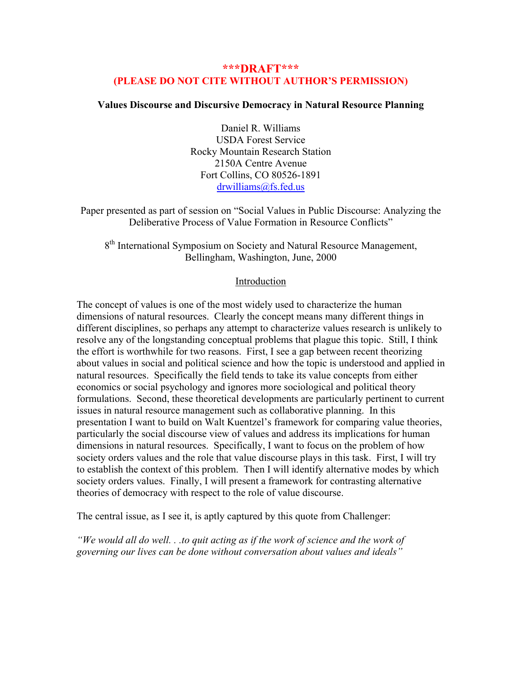# **\*\*\*DRAFT\*\*\* (PLEASE DO NOT CITE WITHOUT AUTHOR'S PERMISSION)**

# **Values Discourse and Discursive Democracy in Natural Resource Planning**

Daniel R. Williams USDA Forest Service Rocky Mountain Research Station 2150A Centre Avenue Fort Collins, CO 80526-1891 [drwilliams@fs.fed.us](mailto:drwilliams@fs.fed.us)

Paper presented as part of session on "Social Values in Public Discourse: Analyzing the Deliberative Process of Value Formation in Resource Conflicts"

8<sup>th</sup> International Symposium on Society and Natural Resource Management, Bellingham, Washington, June, 2000

# Introduction

The concept of values is one of the most widely used to characterize the human dimensions of natural resources. Clearly the concept means many different things in different disciplines, so perhaps any attempt to characterize values research is unlikely to resolve any of the longstanding conceptual problems that plague this topic. Still, I think the effort is worthwhile for two reasons. First, I see a gap between recent theorizing about values in social and political science and how the topic is understood and applied in natural resources. Specifically the field tends to take its value concepts from either economics or social psychology and ignores more sociological and political theory formulations. Second, these theoretical developments are particularly pertinent to current issues in natural resource management such as collaborative planning. In this presentation I want to build on Walt Kuentzel's framework for comparing value theories, particularly the social discourse view of values and address its implications for human dimensions in natural resources. Specifically, I want to focus on the problem of how society orders values and the role that value discourse plays in this task. First, I will try to establish the context of this problem. Then I will identify alternative modes by which society orders values. Finally, I will present a framework for contrasting alternative theories of democracy with respect to the role of value discourse.

The central issue, as I see it, is aptly captured by this quote from Challenger:

*"We would all do well. . .to quit acting as if the work of science and the work of governing our lives can be done without conversation about values and ideals"*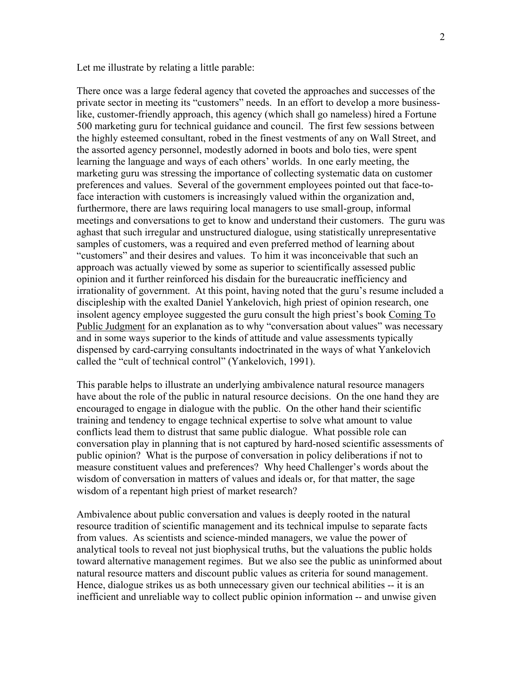Let me illustrate by relating a little parable:

There once was a large federal agency that coveted the approaches and successes of the private sector in meeting its "customers" needs. In an effort to develop a more businesslike, customer-friendly approach, this agency (which shall go nameless) hired a Fortune 500 marketing guru for technical guidance and council. The first few sessions between the highly esteemed consultant, robed in the finest vestments of any on Wall Street, and the assorted agency personnel, modestly adorned in boots and bolo ties, were spent learning the language and ways of each others' worlds. In one early meeting, the marketing guru was stressing the importance of collecting systematic data on customer preferences and values. Several of the government employees pointed out that face-toface interaction with customers is increasingly valued within the organization and, furthermore, there are laws requiring local managers to use small-group, informal meetings and conversations to get to know and understand their customers. The guru was aghast that such irregular and unstructured dialogue, using statistically unrepresentative samples of customers, was a required and even preferred method of learning about "customers" and their desires and values. To him it was inconceivable that such an approach was actually viewed by some as superior to scientifically assessed public opinion and it further reinforced his disdain for the bureaucratic inefficiency and irrationality of government. At this point, having noted that the guru's resume included a discipleship with the exalted Daniel Yankelovich, high priest of opinion research, one insolent agency employee suggested the guru consult the high priest's book Coming To Public Judgment for an explanation as to why "conversation about values" was necessary and in some ways superior to the kinds of attitude and value assessments typically dispensed by card-carrying consultants indoctrinated in the ways of what Yankelovich called the "cult of technical control" (Yankelovich, 1991).

This parable helps to illustrate an underlying ambivalence natural resource managers have about the role of the public in natural resource decisions. On the one hand they are encouraged to engage in dialogue with the public. On the other hand their scientific training and tendency to engage technical expertise to solve what amount to value conflicts lead them to distrust that same public dialogue. What possible role can conversation play in planning that is not captured by hard-nosed scientific assessments of public opinion? What is the purpose of conversation in policy deliberations if not to measure constituent values and preferences? Why heed Challenger's words about the wisdom of conversation in matters of values and ideals or, for that matter, the sage wisdom of a repentant high priest of market research?

Ambivalence about public conversation and values is deeply rooted in the natural resource tradition of scientific management and its technical impulse to separate facts from values. As scientists and science-minded managers, we value the power of analytical tools to reveal not just biophysical truths, but the valuations the public holds toward alternative management regimes. But we also see the public as uninformed about natural resource matters and discount public values as criteria for sound management. Hence, dialogue strikes us as both unnecessary given our technical abilities -- it is an inefficient and unreliable way to collect public opinion information -- and unwise given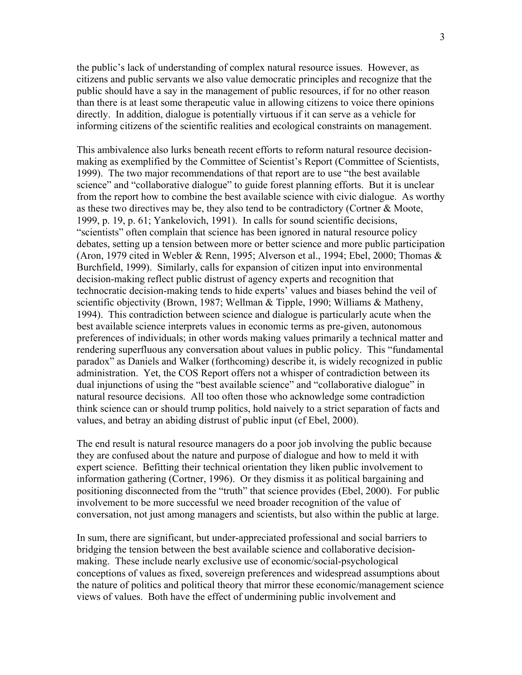the public's lack of understanding of complex natural resource issues. However, as citizens and public servants we also value democratic principles and recognize that the public should have a say in the management of public resources, if for no other reason than there is at least some therapeutic value in allowing citizens to voice there opinions directly. In addition, dialogue is potentially virtuous if it can serve as a vehicle for informing citizens of the scientific realities and ecological constraints on management.

This ambivalence also lurks beneath recent efforts to reform natural resource decisionmaking as exemplified by the Committee of Scientist's Report (Committee of Scientists, 1999). The two major recommendations of that report are to use "the best available science" and "collaborative dialogue" to guide forest planning efforts. But it is unclear from the report how to combine the best available science with civic dialogue. As worthy as these two directives may be, they also tend to be contradictory (Cortner & Moote, 1999, p. 19, p. 61; Yankelovich, 1991). In calls for sound scientific decisions, "scientists" often complain that science has been ignored in natural resource policy debates, setting up a tension between more or better science and more public participation (Aron, 1979 cited in Webler & Renn, 1995; Alverson et al., 1994; Ebel, 2000; Thomas & Burchfield, 1999). Similarly, calls for expansion of citizen input into environmental decision-making reflect public distrust of agency experts and recognition that technocratic decision-making tends to hide experts' values and biases behind the veil of scientific objectivity (Brown, 1987; Wellman & Tipple, 1990; Williams & Matheny, 1994). This contradiction between science and dialogue is particularly acute when the best available science interprets values in economic terms as pre-given, autonomous preferences of individuals; in other words making values primarily a technical matter and rendering superfluous any conversation about values in public policy. This "fundamental paradox" as Daniels and Walker (forthcoming) describe it, is widely recognized in public administration. Yet, the COS Report offers not a whisper of contradiction between its dual injunctions of using the "best available science" and "collaborative dialogue" in natural resource decisions. All too often those who acknowledge some contradiction think science can or should trump politics, hold naively to a strict separation of facts and values, and betray an abiding distrust of public input (cf Ebel, 2000).

The end result is natural resource managers do a poor job involving the public because they are confused about the nature and purpose of dialogue and how to meld it with expert science. Befitting their technical orientation they liken public involvement to information gathering (Cortner, 1996). Or they dismiss it as political bargaining and positioning disconnected from the "truth" that science provides (Ebel, 2000). For public involvement to be more successful we need broader recognition of the value of conversation, not just among managers and scientists, but also within the public at large.

In sum, there are significant, but under-appreciated professional and social barriers to bridging the tension between the best available science and collaborative decisionmaking. These include nearly exclusive use of economic/social-psychological conceptions of values as fixed, sovereign preferences and widespread assumptions about the nature of politics and political theory that mirror these economic/management science views of values. Both have the effect of undermining public involvement and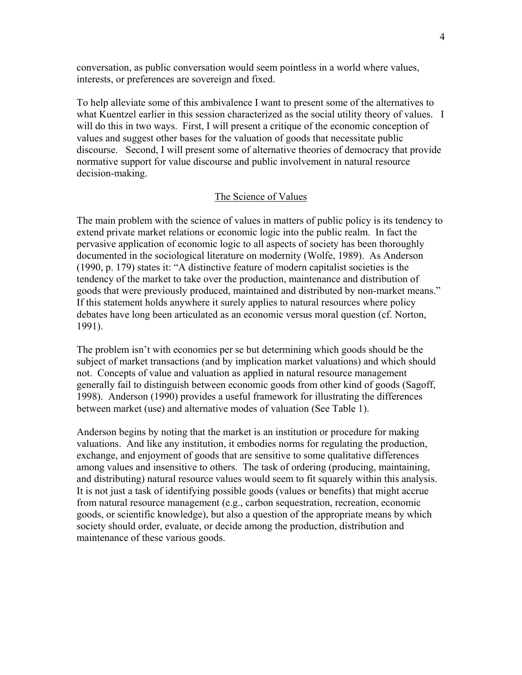conversation, as public conversation would seem pointless in a world where values, interests, or preferences are sovereign and fixed.

To help alleviate some of this ambivalence I want to present some of the alternatives to what Kuentzel earlier in this session characterized as the social utility theory of values. I will do this in two ways. First, I will present a critique of the economic conception of values and suggest other bases for the valuation of goods that necessitate public discourse. Second, I will present some of alternative theories of democracy that provide normative support for value discourse and public involvement in natural resource decision-making.

#### The Science of Values

The main problem with the science of values in matters of public policy is its tendency to extend private market relations or economic logic into the public realm. In fact the pervasive application of economic logic to all aspects of society has been thoroughly documented in the sociological literature on modernity (Wolfe, 1989). As Anderson (1990, p. 179) states it: "A distinctive feature of modern capitalist societies is the tendency of the market to take over the production, maintenance and distribution of goods that were previously produced, maintained and distributed by non-market means." If this statement holds anywhere it surely applies to natural resources where policy debates have long been articulated as an economic versus moral question (cf. Norton, 1991).

The problem isn't with economics per se but determining which goods should be the subject of market transactions (and by implication market valuations) and which should not. Concepts of value and valuation as applied in natural resource management generally fail to distinguish between economic goods from other kind of goods (Sagoff, 1998). Anderson (1990) provides a useful framework for illustrating the differences between market (use) and alternative modes of valuation (See Table 1).

Anderson begins by noting that the market is an institution or procedure for making valuations. And like any institution, it embodies norms for regulating the production, exchange, and enjoyment of goods that are sensitive to some qualitative differences among values and insensitive to others. The task of ordering (producing, maintaining, and distributing) natural resource values would seem to fit squarely within this analysis. It is not just a task of identifying possible goods (values or benefits) that might accrue from natural resource management (e.g., carbon sequestration, recreation, economic goods, or scientific knowledge), but also a question of the appropriate means by which society should order, evaluate, or decide among the production, distribution and maintenance of these various goods.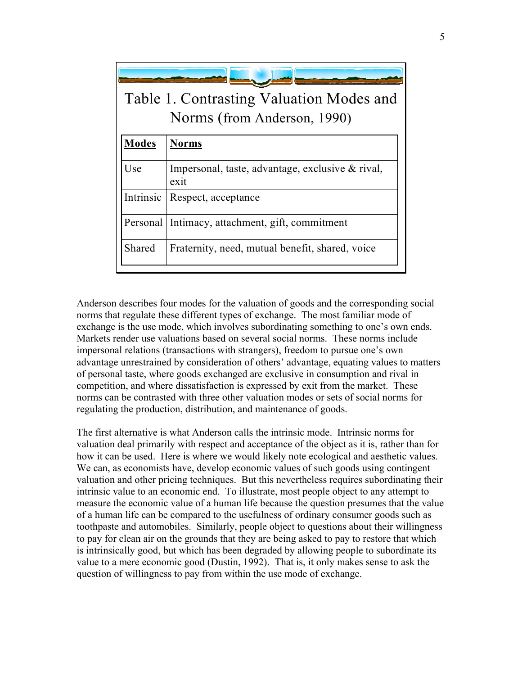| Table 1. Contrasting Valuation Modes and<br>Norms (from Anderson, 1990) |                                                          |  |  |  |  |
|-------------------------------------------------------------------------|----------------------------------------------------------|--|--|--|--|
| <b>Modes</b>                                                            | <b>Norms</b>                                             |  |  |  |  |
| Use                                                                     | Impersonal, taste, advantage, exclusive & rival,<br>exit |  |  |  |  |
| Intrinsic                                                               | Respect, acceptance                                      |  |  |  |  |
| Personal                                                                | Intimacy, attachment, gift, commitment                   |  |  |  |  |
| Shared                                                                  | Fraternity, need, mutual benefit, shared, voice          |  |  |  |  |

Anderson describes four modes for the valuation of goods and the corresponding social norms that regulate these different types of exchange. The most familiar mode of exchange is the use mode, which involves subordinating something to one's own ends. Markets render use valuations based on several social norms. These norms include impersonal relations (transactions with strangers), freedom to pursue one's own advantage unrestrained by consideration of others' advantage, equating values to matters of personal taste, where goods exchanged are exclusive in consumption and rival in competition, and where dissatisfaction is expressed by exit from the market. These norms can be contrasted with three other valuation modes or sets of social norms for regulating the production, distribution, and maintenance of goods.

The first alternative is what Anderson calls the intrinsic mode. Intrinsic norms for valuation deal primarily with respect and acceptance of the object as it is, rather than for how it can be used. Here is where we would likely note ecological and aesthetic values. We can, as economists have, develop economic values of such goods using contingent valuation and other pricing techniques. But this nevertheless requires subordinating their intrinsic value to an economic end. To illustrate, most people object to any attempt to measure the economic value of a human life because the question presumes that the value of a human life can be compared to the usefulness of ordinary consumer goods such as toothpaste and automobiles. Similarly, people object to questions about their willingness to pay for clean air on the grounds that they are being asked to pay to restore that which is intrinsically good, but which has been degraded by allowing people to subordinate its value to a mere economic good (Dustin, 1992). That is, it only makes sense to ask the question of willingness to pay from within the use mode of exchange.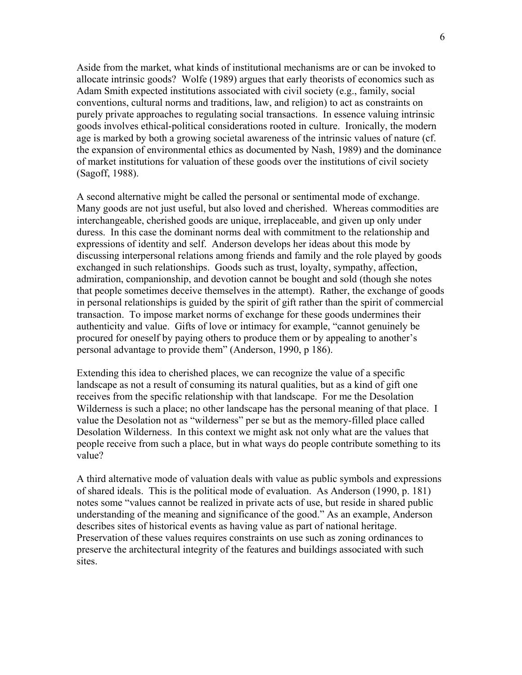Aside from the market, what kinds of institutional mechanisms are or can be invoked to allocate intrinsic goods? Wolfe (1989) argues that early theorists of economics such as Adam Smith expected institutions associated with civil society (e.g., family, social conventions, cultural norms and traditions, law, and religion) to act as constraints on purely private approaches to regulating social transactions. In essence valuing intrinsic goods involves ethical-political considerations rooted in culture. Ironically, the modern age is marked by both a growing societal awareness of the intrinsic values of nature (cf. the expansion of environmental ethics as documented by Nash, 1989) and the dominance of market institutions for valuation of these goods over the institutions of civil society (Sagoff, 1988).

A second alternative might be called the personal or sentimental mode of exchange. Many goods are not just useful, but also loved and cherished. Whereas commodities are interchangeable, cherished goods are unique, irreplaceable, and given up only under duress. In this case the dominant norms deal with commitment to the relationship and expressions of identity and self. Anderson develops her ideas about this mode by discussing interpersonal relations among friends and family and the role played by goods exchanged in such relationships. Goods such as trust, loyalty, sympathy, affection, admiration, companionship, and devotion cannot be bought and sold (though she notes that people sometimes deceive themselves in the attempt). Rather, the exchange of goods in personal relationships is guided by the spirit of gift rather than the spirit of commercial transaction. To impose market norms of exchange for these goods undermines their authenticity and value. Gifts of love or intimacy for example, "cannot genuinely be procured for oneself by paying others to produce them or by appealing to another's personal advantage to provide them" (Anderson, 1990, p 186).

Extending this idea to cherished places, we can recognize the value of a specific landscape as not a result of consuming its natural qualities, but as a kind of gift one receives from the specific relationship with that landscape. For me the Desolation Wilderness is such a place; no other landscape has the personal meaning of that place. I value the Desolation not as "wilderness" per se but as the memory-filled place called Desolation Wilderness. In this context we might ask not only what are the values that people receive from such a place, but in what ways do people contribute something to its value?

A third alternative mode of valuation deals with value as public symbols and expressions of shared ideals. This is the political mode of evaluation. As Anderson (1990, p. 181) notes some "values cannot be realized in private acts of use, but reside in shared public understanding of the meaning and significance of the good." As an example, Anderson describes sites of historical events as having value as part of national heritage. Preservation of these values requires constraints on use such as zoning ordinances to preserve the architectural integrity of the features and buildings associated with such sites.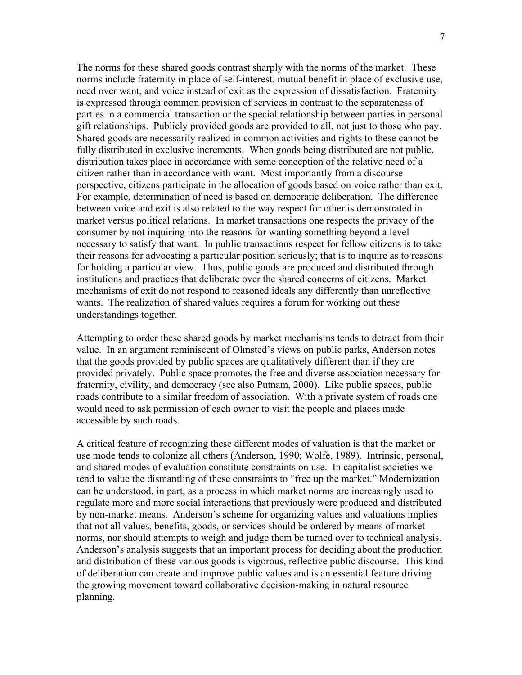The norms for these shared goods contrast sharply with the norms of the market. These norms include fraternity in place of self-interest, mutual benefit in place of exclusive use, need over want, and voice instead of exit as the expression of dissatisfaction. Fraternity is expressed through common provision of services in contrast to the separateness of parties in a commercial transaction or the special relationship between parties in personal gift relationships. Publicly provided goods are provided to all, not just to those who pay. Shared goods are necessarily realized in common activities and rights to these cannot be fully distributed in exclusive increments. When goods being distributed are not public, distribution takes place in accordance with some conception of the relative need of a citizen rather than in accordance with want. Most importantly from a discourse perspective, citizens participate in the allocation of goods based on voice rather than exit. For example, determination of need is based on democratic deliberation. The difference between voice and exit is also related to the way respect for other is demonstrated in market versus political relations. In market transactions one respects the privacy of the consumer by not inquiring into the reasons for wanting something beyond a level necessary to satisfy that want. In public transactions respect for fellow citizens is to take their reasons for advocating a particular position seriously; that is to inquire as to reasons for holding a particular view. Thus, public goods are produced and distributed through institutions and practices that deliberate over the shared concerns of citizens. Market mechanisms of exit do not respond to reasoned ideals any differently than unreflective wants. The realization of shared values requires a forum for working out these understandings together.

Attempting to order these shared goods by market mechanisms tends to detract from their value. In an argument reminiscent of Olmsted's views on public parks, Anderson notes that the goods provided by public spaces are qualitatively different than if they are provided privately. Public space promotes the free and diverse association necessary for fraternity, civility, and democracy (see also Putnam, 2000). Like public spaces, public roads contribute to a similar freedom of association. With a private system of roads one would need to ask permission of each owner to visit the people and places made accessible by such roads.

A critical feature of recognizing these different modes of valuation is that the market or use mode tends to colonize all others (Anderson, 1990; Wolfe, 1989). Intrinsic, personal, and shared modes of evaluation constitute constraints on use. In capitalist societies we tend to value the dismantling of these constraints to "free up the market." Modernization can be understood, in part, as a process in which market norms are increasingly used to regulate more and more social interactions that previously were produced and distributed by non-market means. Anderson's scheme for organizing values and valuations implies that not all values, benefits, goods, or services should be ordered by means of market norms, nor should attempts to weigh and judge them be turned over to technical analysis. Anderson's analysis suggests that an important process for deciding about the production and distribution of these various goods is vigorous, reflective public discourse. This kind of deliberation can create and improve public values and is an essential feature driving the growing movement toward collaborative decision-making in natural resource planning.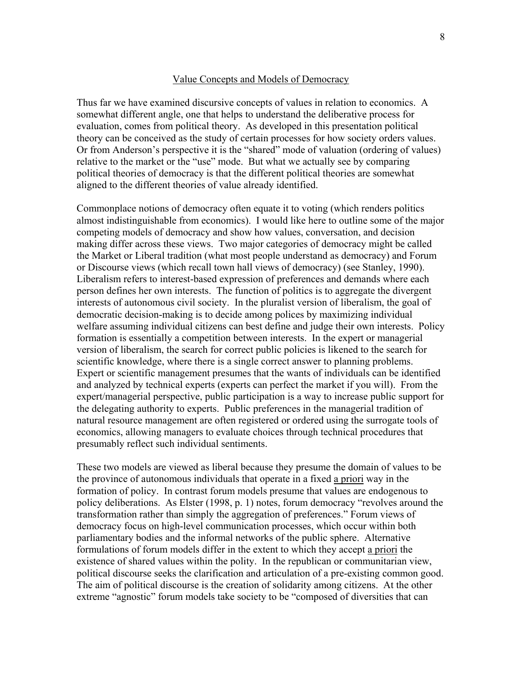## Value Concepts and Models of Democracy

Thus far we have examined discursive concepts of values in relation to economics. A somewhat different angle, one that helps to understand the deliberative process for evaluation, comes from political theory. As developed in this presentation political theory can be conceived as the study of certain processes for how society orders values. Or from Anderson's perspective it is the "shared" mode of valuation (ordering of values) relative to the market or the "use" mode. But what we actually see by comparing political theories of democracy is that the different political theories are somewhat aligned to the different theories of value already identified.

Commonplace notions of democracy often equate it to voting (which renders politics almost indistinguishable from economics). I would like here to outline some of the major competing models of democracy and show how values, conversation, and decision making differ across these views. Two major categories of democracy might be called the Market or Liberal tradition (what most people understand as democracy) and Forum or Discourse views (which recall town hall views of democracy) (see Stanley, 1990). Liberalism refers to interest-based expression of preferences and demands where each person defines her own interests. The function of politics is to aggregate the divergent interests of autonomous civil society. In the pluralist version of liberalism, the goal of democratic decision-making is to decide among polices by maximizing individual welfare assuming individual citizens can best define and judge their own interests. Policy formation is essentially a competition between interests. In the expert or managerial version of liberalism, the search for correct public policies is likened to the search for scientific knowledge, where there is a single correct answer to planning problems. Expert or scientific management presumes that the wants of individuals can be identified and analyzed by technical experts (experts can perfect the market if you will). From the expert/managerial perspective, public participation is a way to increase public support for the delegating authority to experts. Public preferences in the managerial tradition of natural resource management are often registered or ordered using the surrogate tools of economics, allowing managers to evaluate choices through technical procedures that presumably reflect such individual sentiments.

These two models are viewed as liberal because they presume the domain of values to be the province of autonomous individuals that operate in a fixed a priori way in the formation of policy. In contrast forum models presume that values are endogenous to policy deliberations. As Elster (1998, p. 1) notes, forum democracy "revolves around the transformation rather than simply the aggregation of preferences." Forum views of democracy focus on high-level communication processes, which occur within both parliamentary bodies and the informal networks of the public sphere. Alternative formulations of forum models differ in the extent to which they accept a priori the existence of shared values within the polity. In the republican or communitarian view, political discourse seeks the clarification and articulation of a pre-existing common good. The aim of political discourse is the creation of solidarity among citizens. At the other extreme "agnostic" forum models take society to be "composed of diversities that can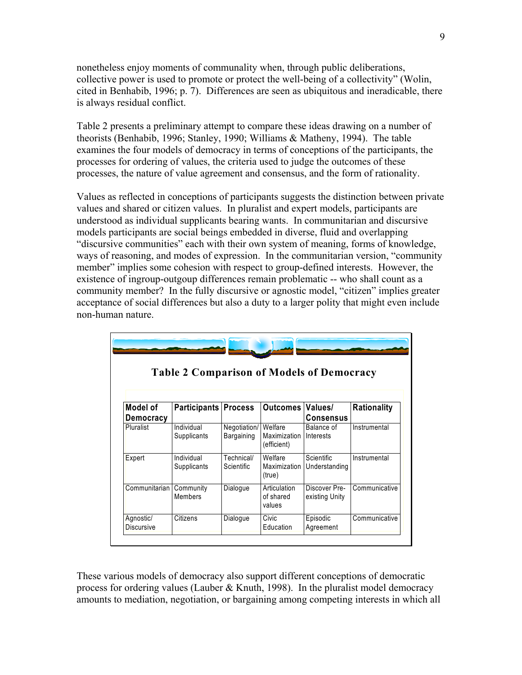nonetheless enjoy moments of communality when, through public deliberations, collective power is used to promote or protect the well-being of a collectivity" (Wolin, cited in Benhabib, 1996; p. 7). Differences are seen as ubiquitous and ineradicable, there is always residual conflict.

Table 2 presents a preliminary attempt to compare these ideas drawing on a number of theorists (Benhabib, 1996; Stanley, 1990; Williams & Matheny, 1994). The table examines the four models of democracy in terms of conceptions of the participants, the processes for ordering of values, the criteria used to judge the outcomes of these processes, the nature of value agreement and consensus, and the form of rationality.

Values as reflected in conceptions of participants suggests the distinction between private values and shared or citizen values. In pluralist and expert models, participants are understood as individual supplicants bearing wants. In communitarian and discursive models participants are social beings embedded in diverse, fluid and overlapping "discursive communities" each with their own system of meaning, forms of knowledge, ways of reasoning, and modes of expression. In the communitarian version, "community member" implies some cohesion with respect to group-defined interests. However, the existence of ingroup-outgoup differences remain problematic -- who shall count as a community member? In the fully discursive or agnostic model, "citizen" implies greater acceptance of social differences but also a duty to a larger polity that might even include non-human nature.

| <b>Table 2 Comparison of Models of Democracy</b> |                             |                            |                                          |                                 |               |  |
|--------------------------------------------------|-----------------------------|----------------------------|------------------------------------------|---------------------------------|---------------|--|
| Model of<br><b>Democracy</b>                     | <b>Participants Process</b> |                            | Outcomes                                 | Values/<br>Consensus            | Rationality   |  |
| <b>Pluralist</b>                                 | Individual<br>Supplicants   | Negotiation/<br>Bargaining | Welfare<br>Maximization I<br>(efficient) | Balance of<br>Interests         | Instrumental  |  |
| Expert                                           | Individual<br>Supplicants   | Technical/<br>Scientific   | Welfare<br><b>Maximization</b><br>(true) | Scientific<br>Understanding     | Instrumental  |  |
| Communitarian                                    | Community<br>Members        | Dialogue                   | Articulation<br>of shared<br>values      | Discover Pre-<br>existing Unity | Communicative |  |
| Agnostic/<br><b>Discursive</b>                   | Citizens                    | Dialogue                   | Civic<br>Education                       | Episodic<br>Agreement           | Communicative |  |

These various models of democracy also support different conceptions of democratic process for ordering values (Lauber & Knuth, 1998). In the pluralist model democracy amounts to mediation, negotiation, or bargaining among competing interests in which all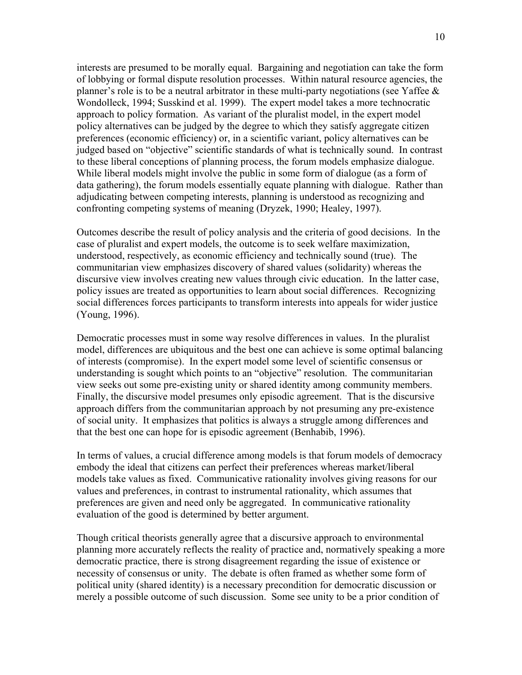interests are presumed to be morally equal. Bargaining and negotiation can take the form of lobbying or formal dispute resolution processes. Within natural resource agencies, the planner's role is to be a neutral arbitrator in these multi-party negotiations (see Yaffee & Wondolleck, 1994; Susskind et al. 1999). The expert model takes a more technocratic approach to policy formation. As variant of the pluralist model, in the expert model policy alternatives can be judged by the degree to which they satisfy aggregate citizen preferences (economic efficiency) or, in a scientific variant, policy alternatives can be judged based on "objective" scientific standards of what is technically sound. In contrast to these liberal conceptions of planning process, the forum models emphasize dialogue. While liberal models might involve the public in some form of dialogue (as a form of data gathering), the forum models essentially equate planning with dialogue. Rather than adjudicating between competing interests, planning is understood as recognizing and confronting competing systems of meaning (Dryzek, 1990; Healey, 1997).

Outcomes describe the result of policy analysis and the criteria of good decisions. In the case of pluralist and expert models, the outcome is to seek welfare maximization, understood, respectively, as economic efficiency and technically sound (true). The communitarian view emphasizes discovery of shared values (solidarity) whereas the discursive view involves creating new values through civic education. In the latter case, policy issues are treated as opportunities to learn about social differences. Recognizing social differences forces participants to transform interests into appeals for wider justice (Young, 1996).

Democratic processes must in some way resolve differences in values. In the pluralist model, differences are ubiquitous and the best one can achieve is some optimal balancing of interests (compromise). In the expert model some level of scientific consensus or understanding is sought which points to an "objective" resolution. The communitarian view seeks out some pre-existing unity or shared identity among community members. Finally, the discursive model presumes only episodic agreement. That is the discursive approach differs from the communitarian approach by not presuming any pre-existence of social unity. It emphasizes that politics is always a struggle among differences and that the best one can hope for is episodic agreement (Benhabib, 1996).

In terms of values, a crucial difference among models is that forum models of democracy embody the ideal that citizens can perfect their preferences whereas market/liberal models take values as fixed. Communicative rationality involves giving reasons for our values and preferences, in contrast to instrumental rationality, which assumes that preferences are given and need only be aggregated. In communicative rationality evaluation of the good is determined by better argument.

Though critical theorists generally agree that a discursive approach to environmental planning more accurately reflects the reality of practice and, normatively speaking a more democratic practice, there is strong disagreement regarding the issue of existence or necessity of consensus or unity. The debate is often framed as whether some form of political unity (shared identity) is a necessary precondition for democratic discussion or merely a possible outcome of such discussion. Some see unity to be a prior condition of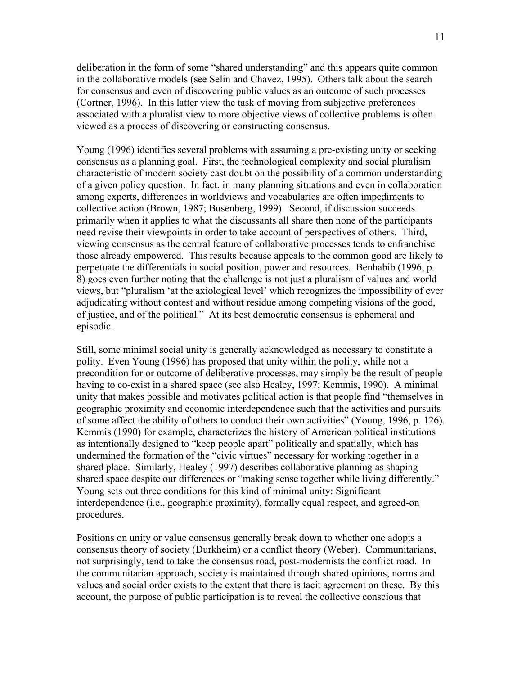deliberation in the form of some "shared understanding" and this appears quite common in the collaborative models (see Selin and Chavez, 1995). Others talk about the search for consensus and even of discovering public values as an outcome of such processes (Cortner, 1996). In this latter view the task of moving from subjective preferences associated with a pluralist view to more objective views of collective problems is often viewed as a process of discovering or constructing consensus.

Young (1996) identifies several problems with assuming a pre-existing unity or seeking consensus as a planning goal. First, the technological complexity and social pluralism characteristic of modern society cast doubt on the possibility of a common understanding of a given policy question. In fact, in many planning situations and even in collaboration among experts, differences in worldviews and vocabularies are often impediments to collective action (Brown, 1987; Busenberg, 1999). Second, if discussion succeeds primarily when it applies to what the discussants all share then none of the participants need revise their viewpoints in order to take account of perspectives of others. Third, viewing consensus as the central feature of collaborative processes tends to enfranchise those already empowered. This results because appeals to the common good are likely to perpetuate the differentials in social position, power and resources. Benhabib (1996, p. 8) goes even further noting that the challenge is not just a pluralism of values and world views, but "pluralism 'at the axiological level' which recognizes the impossibility of ever adjudicating without contest and without residue among competing visions of the good, of justice, and of the political." At its best democratic consensus is ephemeral and episodic.

Still, some minimal social unity is generally acknowledged as necessary to constitute a polity. Even Young (1996) has proposed that unity within the polity, while not a precondition for or outcome of deliberative processes, may simply be the result of people having to co-exist in a shared space (see also Healey, 1997; Kemmis, 1990). A minimal unity that makes possible and motivates political action is that people find "themselves in geographic proximity and economic interdependence such that the activities and pursuits of some affect the ability of others to conduct their own activities" (Young, 1996, p. 126). Kemmis (1990) for example, characterizes the history of American political institutions as intentionally designed to "keep people apart" politically and spatially, which has undermined the formation of the "civic virtues" necessary for working together in a shared place. Similarly, Healey (1997) describes collaborative planning as shaping shared space despite our differences or "making sense together while living differently." Young sets out three conditions for this kind of minimal unity: Significant interdependence (i.e., geographic proximity), formally equal respect, and agreed-on procedures.

Positions on unity or value consensus generally break down to whether one adopts a consensus theory of society (Durkheim) or a conflict theory (Weber). Communitarians, not surprisingly, tend to take the consensus road, post-modernists the conflict road. In the communitarian approach, society is maintained through shared opinions, norms and values and social order exists to the extent that there is tacit agreement on these. By this account, the purpose of public participation is to reveal the collective conscious that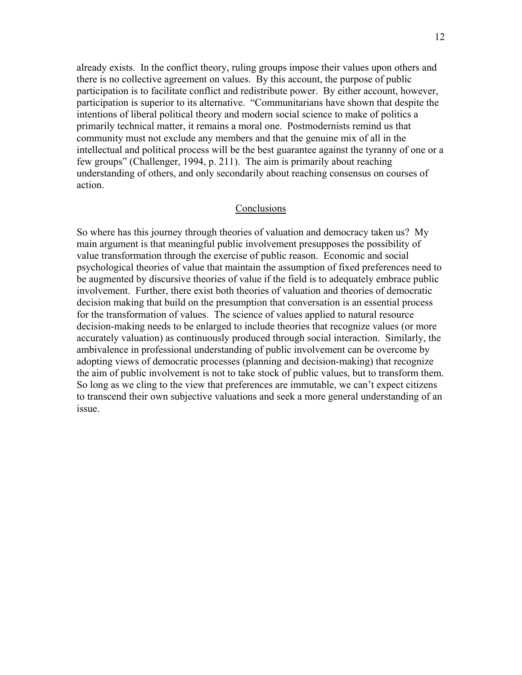already exists. In the conflict theory, ruling groups impose their values upon others and there is no collective agreement on values. By this account, the purpose of public participation is to facilitate conflict and redistribute power. By either account, however, participation is superior to its alternative. "Communitarians have shown that despite the intentions of liberal political theory and modern social science to make of politics a primarily technical matter, it remains a moral one. Postmodernists remind us that community must not exclude any members and that the genuine mix of all in the intellectual and political process will be the best guarantee against the tyranny of one or a few groups" (Challenger, 1994, p. 211). The aim is primarily about reaching understanding of others, and only secondarily about reaching consensus on courses of action.

## Conclusions

So where has this journey through theories of valuation and democracy taken us? My main argument is that meaningful public involvement presupposes the possibility of value transformation through the exercise of public reason. Economic and social psychological theories of value that maintain the assumption of fixed preferences need to be augmented by discursive theories of value if the field is to adequately embrace public involvement. Further, there exist both theories of valuation and theories of democratic decision making that build on the presumption that conversation is an essential process for the transformation of values. The science of values applied to natural resource decision-making needs to be enlarged to include theories that recognize values (or more accurately valuation) as continuously produced through social interaction. Similarly, the ambivalence in professional understanding of public involvement can be overcome by adopting views of democratic processes (planning and decision-making) that recognize the aim of public involvement is not to take stock of public values, but to transform them. So long as we cling to the view that preferences are immutable, we can't expect citizens to transcend their own subjective valuations and seek a more general understanding of an issue.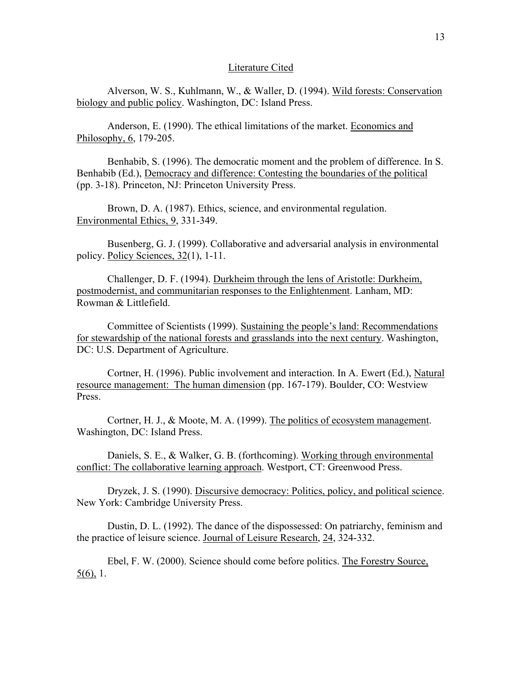#### Literature Cited

 Alverson, W. S., Kuhlmann, W., & Waller, D. (1994). Wild forests: Conservation biology and public policy. Washington, DC: Island Press.

Anderson, E. (1990). The ethical limitations of the market. Economics and Philosophy, 6, 179-205.

 Benhabib, S. (1996). The democratic moment and the problem of difference. In S. Benhabib (Ed.), Democracy and difference: Contesting the boundaries of the political (pp. 3-18). Princeton, NJ: Princeton University Press.

 Brown, D. A. (1987). Ethics, science, and environmental regulation. Environmental Ethics, 9, 331-349.

 Busenberg, G. J. (1999). Collaborative and adversarial analysis in environmental policy. Policy Sciences, 32(1), 1-11.

 Challenger, D. F. (1994). Durkheim through the lens of Aristotle: Durkheim, postmodernist, and communitarian responses to the Enlightenment. Lanham, MD: Rowman & Littlefield.

 Committee of Scientists (1999). Sustaining the people's land: Recommendations for stewardship of the national forests and grasslands into the next century. Washington, DC: U.S. Department of Agriculture.

 Cortner, H. (1996). Public involvement and interaction. In A. Ewert (Ed.), Natural resource management: The human dimension (pp. 167-179). Boulder, CO: Westview Press.

 Cortner, H. J., & Moote, M. A. (1999). The politics of ecosystem management. Washington, DC: Island Press.

 Daniels, S. E., & Walker, G. B. (forthcoming). Working through environmental conflict: The collaborative learning approach. Westport, CT: Greenwood Press.

 Dryzek, J. S. (1990). Discursive democracy: Politics, policy, and political science. New York: Cambridge University Press.

Dustin, D. L. (1992). The dance of the dispossessed: On patriarchy, feminism and the practice of leisure science. Journal of Leisure Research, 24, 324-332.

Ebel, F. W. (2000). Science should come before politics. The Forestry Source, 5(6), 1.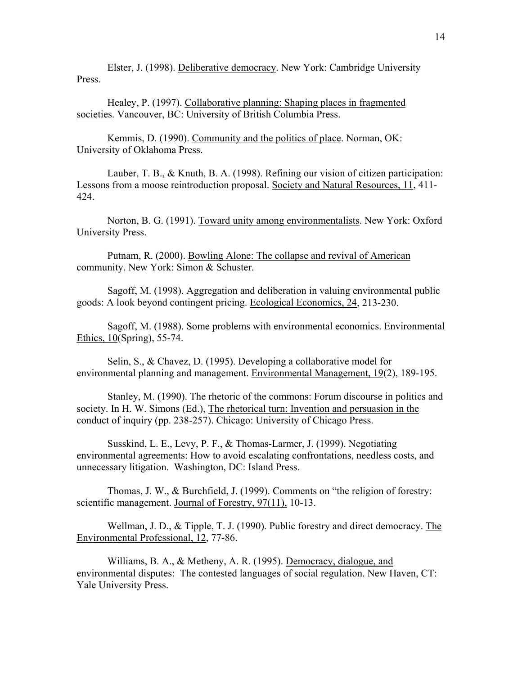Elster, J. (1998). Deliberative democracy. New York: Cambridge University **Press**.

 Healey, P. (1997). Collaborative planning: Shaping places in fragmented societies. Vancouver, BC: University of British Columbia Press.

 Kemmis, D. (1990). Community and the politics of place. Norman, OK: University of Oklahoma Press.

 Lauber, T. B., & Knuth, B. A. (1998). Refining our vision of citizen participation: Lessons from a moose reintroduction proposal. Society and Natural Resources, 11, 411- 424.

 Norton, B. G. (1991). Toward unity among environmentalists. New York: Oxford University Press.

Putnam, R. (2000). Bowling Alone: The collapse and revival of American community. New York: Simon & Schuster.

Sagoff, M. (1998). Aggregation and deliberation in valuing environmental public goods: A look beyond contingent pricing. Ecological Economics, 24, 213-230.

 Sagoff, M. (1988). Some problems with environmental economics. Environmental Ethics, 10(Spring), 55-74.

 Selin, S., & Chavez, D. (1995). Developing a collaborative model for environmental planning and management. Environmental Management, 19(2), 189-195.

 Stanley, M. (1990). The rhetoric of the commons: Forum discourse in politics and society. In H. W. Simons (Ed.), The rhetorical turn: Invention and persuasion in the conduct of inquiry (pp. 238-257). Chicago: University of Chicago Press.

 Susskind, L. E., Levy, P. F., & Thomas-Larmer, J. (1999). Negotiating environmental agreements: How to avoid escalating confrontations, needless costs, and unnecessary litigation. Washington, DC: Island Press.

 Thomas, J. W., & Burchfield, J. (1999). Comments on "the religion of forestry: scientific management. Journal of Forestry, 97(11), 10-13.

 Wellman, J. D., & Tipple, T. J. (1990). Public forestry and direct democracy. The Environmental Professional, 12, 77-86.

 Williams, B. A., & Metheny, A. R. (1995). Democracy, dialogue, and environmental disputes: The contested languages of social regulation. New Haven, CT: Yale University Press.